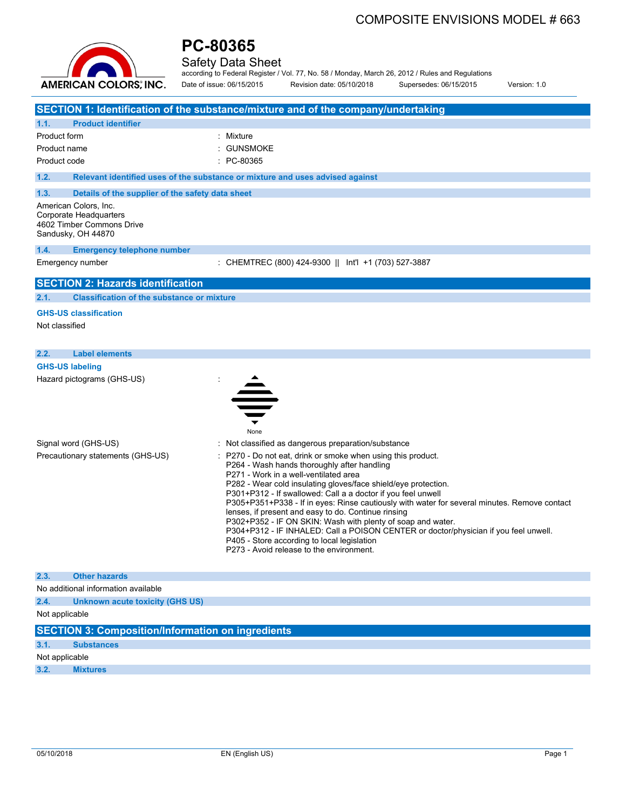# COMPOSITE ENVISIONS MODEL # 663



# **PC-80365**

Safety Data Sheet

according to Federal Register / Vol. 77, No. 58 / Monday, March 26, 2012 / Rules and Regulations Date of issue: 06/15/2015 Revision date: 05/10/2018 Supersedes: 06/15/2015 Version: 1.0

|                        |                                                                                                    | SECTION 1: Identification of the substance/mixture and of the company/undertaking                                                                                                                                                                                                                                                                                                                                                                                                                                                                                                                                                                                                             |
|------------------------|----------------------------------------------------------------------------------------------------|-----------------------------------------------------------------------------------------------------------------------------------------------------------------------------------------------------------------------------------------------------------------------------------------------------------------------------------------------------------------------------------------------------------------------------------------------------------------------------------------------------------------------------------------------------------------------------------------------------------------------------------------------------------------------------------------------|
| 1.1.                   | <b>Product identifier</b>                                                                          |                                                                                                                                                                                                                                                                                                                                                                                                                                                                                                                                                                                                                                                                                               |
| Product form           |                                                                                                    | : Mixture                                                                                                                                                                                                                                                                                                                                                                                                                                                                                                                                                                                                                                                                                     |
| Product name           |                                                                                                    | : GUNSMOKE                                                                                                                                                                                                                                                                                                                                                                                                                                                                                                                                                                                                                                                                                    |
| Product code           |                                                                                                    | : PC-80365                                                                                                                                                                                                                                                                                                                                                                                                                                                                                                                                                                                                                                                                                    |
| 1.2.                   |                                                                                                    | Relevant identified uses of the substance or mixture and uses advised against                                                                                                                                                                                                                                                                                                                                                                                                                                                                                                                                                                                                                 |
| 1.3.                   | Details of the supplier of the safety data sheet                                                   |                                                                                                                                                                                                                                                                                                                                                                                                                                                                                                                                                                                                                                                                                               |
|                        | American Colors, Inc.<br>Corporate Headquarters<br>4602 Timber Commons Drive<br>Sandusky, OH 44870 |                                                                                                                                                                                                                                                                                                                                                                                                                                                                                                                                                                                                                                                                                               |
| 1.4.                   | <b>Emergency telephone number</b>                                                                  |                                                                                                                                                                                                                                                                                                                                                                                                                                                                                                                                                                                                                                                                                               |
|                        | Emergency number                                                                                   | : CHEMTREC (800) 424-9300    Int'l +1 (703) 527-3887                                                                                                                                                                                                                                                                                                                                                                                                                                                                                                                                                                                                                                          |
|                        | <b>SECTION 2: Hazards identification</b>                                                           |                                                                                                                                                                                                                                                                                                                                                                                                                                                                                                                                                                                                                                                                                               |
| 2.1.                   | <b>Classification of the substance or mixture</b>                                                  |                                                                                                                                                                                                                                                                                                                                                                                                                                                                                                                                                                                                                                                                                               |
| Not classified         | <b>GHS-US classification</b>                                                                       |                                                                                                                                                                                                                                                                                                                                                                                                                                                                                                                                                                                                                                                                                               |
| 2.2.                   | <b>Label elements</b>                                                                              |                                                                                                                                                                                                                                                                                                                                                                                                                                                                                                                                                                                                                                                                                               |
| <b>GHS-US labeling</b> |                                                                                                    |                                                                                                                                                                                                                                                                                                                                                                                                                                                                                                                                                                                                                                                                                               |
|                        | Hazard pictograms (GHS-US)                                                                         | None                                                                                                                                                                                                                                                                                                                                                                                                                                                                                                                                                                                                                                                                                          |
|                        | Signal word (GHS-US)                                                                               | : Not classified as dangerous preparation/substance                                                                                                                                                                                                                                                                                                                                                                                                                                                                                                                                                                                                                                           |
|                        | Precautionary statements (GHS-US)                                                                  | P270 - Do not eat, drink or smoke when using this product.<br>P264 - Wash hands thoroughly after handling<br>P271 - Work in a well-ventilated area<br>P282 - Wear cold insulating gloves/face shield/eye protection.<br>P301+P312 - If swallowed: Call a a doctor if you feel unwell<br>P305+P351+P338 - If in eyes: Rinse cautiously with water for several minutes. Remove contact<br>lenses, if present and easy to do. Continue rinsing<br>P302+P352 - IF ON SKIN: Wash with plenty of soap and water.<br>P304+P312 - IF INHALED: Call a POISON CENTER or doctor/physician if you feel unwell.<br>P405 - Store according to local legislation<br>P273 - Avoid release to the environment. |
| 2.3.                   | <b>Other hazards</b>                                                                               |                                                                                                                                                                                                                                                                                                                                                                                                                                                                                                                                                                                                                                                                                               |
|                        | No additional information available                                                                |                                                                                                                                                                                                                                                                                                                                                                                                                                                                                                                                                                                                                                                                                               |
| 2.4.                   | Unknown acute toxicity (GHS US)                                                                    |                                                                                                                                                                                                                                                                                                                                                                                                                                                                                                                                                                                                                                                                                               |
| Not applicable         |                                                                                                    |                                                                                                                                                                                                                                                                                                                                                                                                                                                                                                                                                                                                                                                                                               |
|                        | <b>SECTION 3: Composition/Information on ingredients</b>                                           |                                                                                                                                                                                                                                                                                                                                                                                                                                                                                                                                                                                                                                                                                               |
| 3.1.                   | <b>Substances</b>                                                                                  |                                                                                                                                                                                                                                                                                                                                                                                                                                                                                                                                                                                                                                                                                               |
| Not applicable         |                                                                                                    |                                                                                                                                                                                                                                                                                                                                                                                                                                                                                                                                                                                                                                                                                               |
| 3.2.                   | <b>Mixtures</b>                                                                                    |                                                                                                                                                                                                                                                                                                                                                                                                                                                                                                                                                                                                                                                                                               |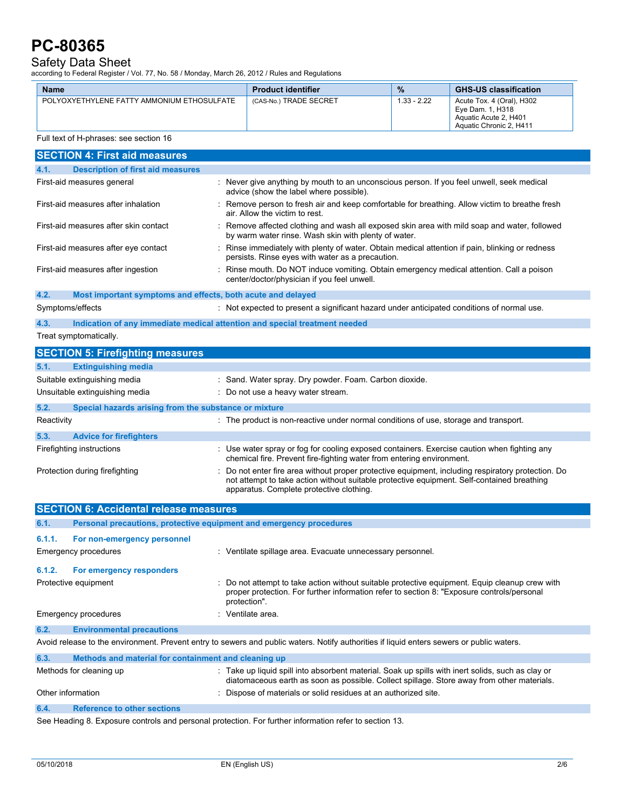# Safety Data Sheet

according to Federal Register / Vol. 77, No. 58 / Monday, March 26, 2012 / Rules and Regulations

| <b>Name</b>                                | <b>Product identifier</b> | $\frac{9}{6}$ | <b>GHS-US classification</b>                                                                      |
|--------------------------------------------|---------------------------|---------------|---------------------------------------------------------------------------------------------------|
| POLYOXYETHYLENE FATTY AMMONIUM ETHOSULFATE | (CAS-No.) TRADE SECRET    | $1.33 - 2.22$ | Acute Tox. 4 (Oral), H302<br>Eve Dam. 1. H318<br>Aquatic Acute 2, H401<br>Aquatic Chronic 2, H411 |

## Full text of H-phrases: see section 16

| <b>SECTION 4: First aid measures</b>                                               |                                                                                                                                                                                                                                            |  |  |
|------------------------------------------------------------------------------------|--------------------------------------------------------------------------------------------------------------------------------------------------------------------------------------------------------------------------------------------|--|--|
| <b>Description of first aid measures</b><br>4.1.                                   |                                                                                                                                                                                                                                            |  |  |
| First-aid measures general                                                         | : Never give anything by mouth to an unconscious person. If you feel unwell, seek medical<br>advice (show the label where possible).                                                                                                       |  |  |
| First-aid measures after inhalation                                                | Remove person to fresh air and keep comfortable for breathing. Allow victim to breathe fresh<br>air. Allow the victim to rest.                                                                                                             |  |  |
| First-aid measures after skin contact                                              | : Remove affected clothing and wash all exposed skin area with mild soap and water, followed<br>by warm water rinse. Wash skin with plenty of water.                                                                                       |  |  |
| First-aid measures after eye contact                                               | : Rinse immediately with plenty of water. Obtain medical attention if pain, blinking or redness<br>persists. Rinse eyes with water as a precaution.                                                                                        |  |  |
| First-aid measures after ingestion                                                 | Rinse mouth. Do NOT induce vomiting. Obtain emergency medical attention. Call a poison<br>center/doctor/physician if you feel unwell.                                                                                                      |  |  |
| 4.2.<br>Most important symptoms and effects, both acute and delayed                |                                                                                                                                                                                                                                            |  |  |
| Symptoms/effects                                                                   | : Not expected to present a significant hazard under anticipated conditions of normal use.                                                                                                                                                 |  |  |
| 4.3.<br>Indication of any immediate medical attention and special treatment needed |                                                                                                                                                                                                                                            |  |  |
| Treat symptomatically.                                                             |                                                                                                                                                                                                                                            |  |  |
| <b>SECTION 5: Firefighting measures</b>                                            |                                                                                                                                                                                                                                            |  |  |
| 5.1.<br><b>Extinguishing media</b>                                                 |                                                                                                                                                                                                                                            |  |  |
| Suitable extinguishing media                                                       | : Sand. Water spray. Dry powder. Foam. Carbon dioxide.                                                                                                                                                                                     |  |  |
| Unsuitable extinguishing media                                                     | : Do not use a heavy water stream.                                                                                                                                                                                                         |  |  |
| 5.2.<br>Special hazards arising from the substance or mixture                      |                                                                                                                                                                                                                                            |  |  |
| Reactivity                                                                         | : The product is non-reactive under normal conditions of use, storage and transport.                                                                                                                                                       |  |  |
| 5.3.<br><b>Advice for firefighters</b>                                             |                                                                                                                                                                                                                                            |  |  |
| Firefighting instructions                                                          | : Use water spray or fog for cooling exposed containers. Exercise caution when fighting any<br>chemical fire. Prevent fire-fighting water from entering environment.                                                                       |  |  |
| Protection during firefighting                                                     | Do not enter fire area without proper protective equipment, including respiratory protection. Do<br>not attempt to take action without suitable protective equipment. Self-contained breathing<br>apparatus. Complete protective clothing. |  |  |
| <b>SECTION 6: Accidental release measures</b>                                      |                                                                                                                                                                                                                                            |  |  |

|                                                                                                                                           | <b>SECTION 6: Accidental release measures</b>                       |                                                                                                                                                                                                              |  |
|-------------------------------------------------------------------------------------------------------------------------------------------|---------------------------------------------------------------------|--------------------------------------------------------------------------------------------------------------------------------------------------------------------------------------------------------------|--|
| 6.1.                                                                                                                                      | Personal precautions, protective equipment and emergency procedures |                                                                                                                                                                                                              |  |
| 6.1.1.                                                                                                                                    | For non-emergency personnel                                         |                                                                                                                                                                                                              |  |
|                                                                                                                                           | Emergency procedures                                                | : Ventilate spillage area. Evacuate unnecessary personnel.                                                                                                                                                   |  |
| 6.1.2.                                                                                                                                    | For emergency responders                                            |                                                                                                                                                                                                              |  |
| Protective equipment                                                                                                                      |                                                                     | : Do not attempt to take action without suitable protective equipment. Equip cleanup crew with<br>proper protection. For further information refer to section 8: "Exposure controls/personal<br>protection". |  |
|                                                                                                                                           | Emergency procedures                                                | : Ventilate area.                                                                                                                                                                                            |  |
| 6.2.                                                                                                                                      | <b>Environmental precautions</b>                                    |                                                                                                                                                                                                              |  |
| Avoid release to the environment. Prevent entry to sewers and public waters. Notify authorities if liquid enters sewers or public waters. |                                                                     |                                                                                                                                                                                                              |  |
| 6.3.                                                                                                                                      | Methods and material for containment and cleaning up                |                                                                                                                                                                                                              |  |
| Methods for cleaning up                                                                                                                   |                                                                     | : Take up liquid spill into absorbent material. Soak up spills with inert solids, such as clay or<br>diatomaceous earth as soon as possible. Collect spillage. Store away from other materials.              |  |
| Other information                                                                                                                         |                                                                     | : Dispose of materials or solid residues at an authorized site.                                                                                                                                              |  |
| 6.4.                                                                                                                                      | <b>Reference to other sections</b>                                  |                                                                                                                                                                                                              |  |

See Heading 8. Exposure controls and personal protection. For further information refer to section 13.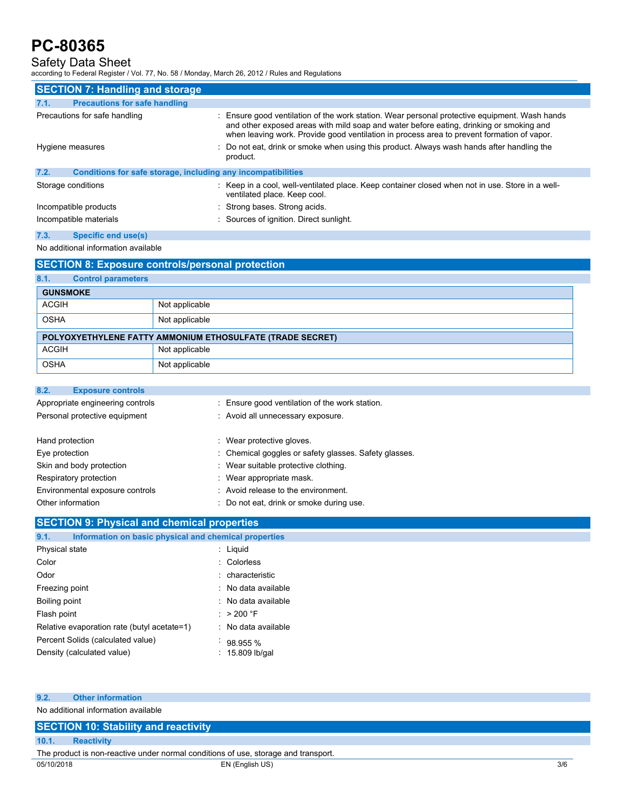# Safety Data Sheet

according to Federal Register / Vol. 77, No. 58 / Monday, March 26, 2012 / Rules and Regulations

| <b>SECTION 7: Handling and storage</b>                               |                                                                                                                                                                                                                                                                                        |  |  |
|----------------------------------------------------------------------|----------------------------------------------------------------------------------------------------------------------------------------------------------------------------------------------------------------------------------------------------------------------------------------|--|--|
| <b>Precautions for safe handling</b><br>7.1.                         |                                                                                                                                                                                                                                                                                        |  |  |
| Precautions for safe handling                                        | : Ensure good ventilation of the work station. Wear personal protective equipment. Wash hands<br>and other exposed areas with mild soap and water before eating, drinking or smoking and<br>when leaving work. Provide good ventilation in process area to prevent formation of vapor. |  |  |
| Hygiene measures                                                     | : Do not eat, drink or smoke when using this product. Always wash hands after handling the<br>product.                                                                                                                                                                                 |  |  |
| 7.2.<br>Conditions for safe storage, including any incompatibilities |                                                                                                                                                                                                                                                                                        |  |  |
| Storage conditions                                                   | : Keep in a cool, well-ventilated place. Keep container closed when not in use. Store in a well-<br>ventilated place. Keep cool.                                                                                                                                                       |  |  |
| Incompatible products                                                | : Strong bases. Strong acids.                                                                                                                                                                                                                                                          |  |  |
| Incompatible materials                                               | : Sources of ignition. Direct sunlight.                                                                                                                                                                                                                                                |  |  |
| 7.3.<br>Specific end use(s)                                          |                                                                                                                                                                                                                                                                                        |  |  |

# No additional information available

# **SECTION 8: Exposure controls/personal protection**

| 8.1.                                                      | <b>Control parameters</b> |                |  |
|-----------------------------------------------------------|---------------------------|----------------|--|
|                                                           | <b>GUNSMOKE</b>           |                |  |
| <b>ACGIH</b>                                              |                           | Not applicable |  |
| <b>OSHA</b>                                               |                           | Not applicable |  |
| POLYOXYETHYLENE FATTY AMMONIUM ETHOSULFATE (TRADE SECRET) |                           |                |  |
| <b>ACGIH</b>                                              |                           | Not applicable |  |
| <b>OSHA</b>                                               |                           | Not applicable |  |

## **8.2. Exposure controls**

| Appropriate engineering controls<br>Personal protective equipment | : Ensure good ventilation of the work station.<br>: Avoid all unnecessary exposure. |  |  |
|-------------------------------------------------------------------|-------------------------------------------------------------------------------------|--|--|
| Hand protection                                                   | : Wear protective gloves.                                                           |  |  |
| Eye protection                                                    | : Chemical goggles or safety glasses. Safety glasses.                               |  |  |
| Skin and body protection                                          | : Wear suitable protective clothing.                                                |  |  |
| Respiratory protection                                            | : Wear appropriate mask.                                                            |  |  |
| Environmental exposure controls                                   | : Avoid release to the environment.                                                 |  |  |
| Other information                                                 | : Do not eat, drink or smoke during use.                                            |  |  |

# **SECTION 9: Physical and chemical properties**

| Information on basic physical and chemical properties<br>9.1. |                     |
|---------------------------------------------------------------|---------------------|
| Physical state                                                | : Liquid            |
| Color                                                         | : Colorless         |
| Odor                                                          | : characteristic    |
| Freezing point                                                | : No data available |
| Boiling point                                                 | : No data available |
| Flash point                                                   | : $>200$ °F         |
| Relative evaporation rate (butyl acetate=1)                   | : No data available |
| Percent Solids (calculated value)                             | 98.955 %            |
| Density (calculated value)                                    | $: 15.809$ lb/gal   |
|                                                               |                     |

### **9.2. Other information**

No additional information available

# **SECTION 10: Stability and reactivity 10.1. Reactivity**

05/10/2018 EN (English US) 3/6 The product is non-reactive under normal conditions of use, storage and transport.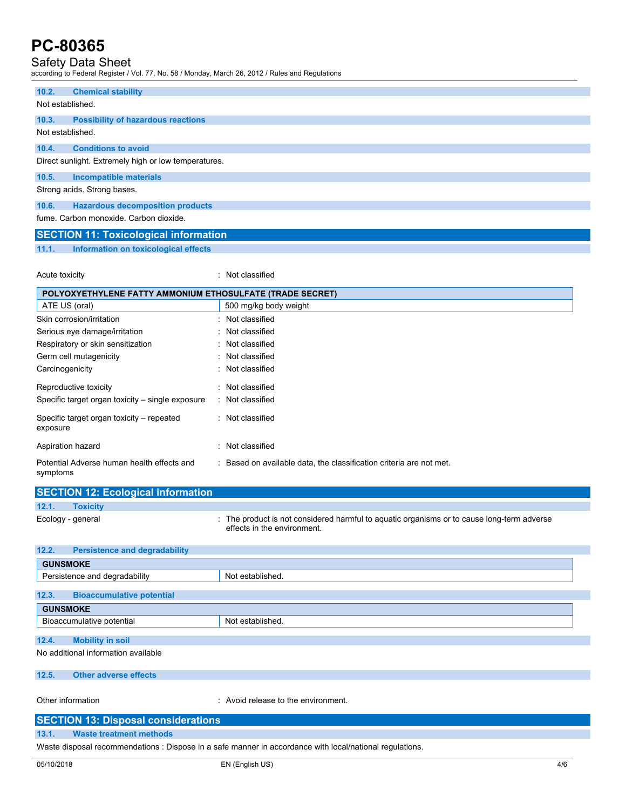# Safety Data Sheet

according to Federal Register / Vol. 77, No. 58 / Monday, March 26, 2012 / Rules and Regulations

| 10.2.                                  | <b>Chemical stability</b>                            |  |  |
|----------------------------------------|------------------------------------------------------|--|--|
| Not established.                       |                                                      |  |  |
| 10.3.                                  | <b>Possibility of hazardous reactions</b>            |  |  |
| Not established.                       |                                                      |  |  |
| 10.4.                                  | <b>Conditions to avoid</b>                           |  |  |
|                                        | Direct sunlight. Extremely high or low temperatures. |  |  |
| 10.5.                                  | Incompatible materials                               |  |  |
|                                        | Strong acids. Strong bases.                          |  |  |
| 10.6.                                  | <b>Hazardous decomposition products</b>              |  |  |
| fume, Carbon monoxide, Carbon dioxide. |                                                      |  |  |
|                                        | <b>SECTION 11: Toxicological information</b>         |  |  |

**11.1. Information on toxicological effects**

Acute toxicity **in the case of the case of the case of the case of the case of the case of the case of the case of the case of the case of the case of the case of the case of the case of the case of the case of the case of** 

| POLYOXYETHYLENE FATTY AMMONIUM ETHOSULFATE (TRADE SECRET) |                                                                     |  |
|-----------------------------------------------------------|---------------------------------------------------------------------|--|
| ATE US (oral)                                             | 500 mg/kg body weight                                               |  |
| Skin corrosion/irritation                                 | : Not classified                                                    |  |
| Serious eye damage/irritation                             | : Not classified                                                    |  |
| Respiratory or skin sensitization                         | : Not classified                                                    |  |
| Germ cell mutagenicity                                    | : Not classified                                                    |  |
| Carcinogenicity                                           | : Not classified                                                    |  |
| Reproductive toxicity                                     | : Not classified                                                    |  |
| Specific target organ toxicity – single exposure          | : Not classified                                                    |  |
| Specific target organ toxicity – repeated<br>exposure     | : Not classified                                                    |  |
| Aspiration hazard                                         | Not classified                                                      |  |
| Potential Adverse human health effects and<br>symptoms    | : Based on available data, the classification criteria are not met. |  |

|       | <b>SECTION 12: Ecological information</b> |                                                                                                                           |  |  |
|-------|-------------------------------------------|---------------------------------------------------------------------------------------------------------------------------|--|--|
| 12.1. | <b>Toxicity</b>                           |                                                                                                                           |  |  |
|       | Ecology - general                         | : The product is not considered harmful to aguatic organisms or to cause long-term adverse<br>effects in the environment. |  |  |
| 122   | Doreictonen and dogradability             |                                                                                                                           |  |  |

| 12.2.                               | <b>Persistence and degradability</b> |                  |  |
|-------------------------------------|--------------------------------------|------------------|--|
|                                     | <b>GUNSMOKE</b>                      |                  |  |
| Persistence and degradability       |                                      | Not established. |  |
|                                     |                                      |                  |  |
| 12.3.                               | <b>Bioaccumulative potential</b>     |                  |  |
| <b>GUNSMOKE</b>                     |                                      |                  |  |
| Bioaccumulative potential           |                                      | Not established. |  |
|                                     |                                      |                  |  |
| 12.4.                               | <b>Mobility in soil</b>              |                  |  |
| No additional information available |                                      |                  |  |
| 12.5.                               | <b>Other adverse effects</b>         |                  |  |
|                                     |                                      |                  |  |

Other information **contact to the environment.** The environment of the environment.

| <b>SECTION 13: Disposal considerations</b>                                                               |                                |  |  |
|----------------------------------------------------------------------------------------------------------|--------------------------------|--|--|
| 13.1.                                                                                                    | <b>Waste treatment methods</b> |  |  |
| Waste disposal recommendations : Dispose in a safe manner in accordance with local/national regulations. |                                |  |  |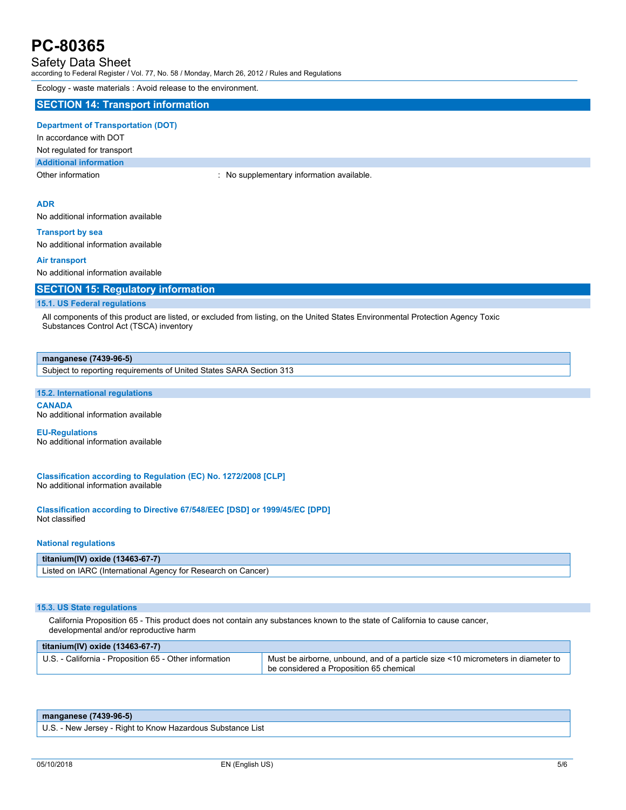# Safety Data Sheet

according to Federal Register / Vol. 77, No. 58 / Monday, March 26, 2012 / Rules and Regulations

Ecology - waste materials : Avoid release to the environment.

### **SECTION 14: Transport information**

## **Department of Transportation (DOT)**

In accordance with DOT

## Not regulated for transport

**Additional information**

Other information **intervalled** in the supplementary information available.

### **ADR**

No additional information available

#### **Transport by sea**

No additional information available

#### **Air transport**

No additional information available

### **SECTION 15: Regulatory information**

#### **15.1. US Federal regulations**

All components of this product are listed, or excluded from listing, on the United States Environmental Protection Agency Toxic Substances Control Act (TSCA) inventory

#### **manganese (7439-96-5)**

Subject to reporting requirements of United States SARA Section 313

#### **15.2. International regulations**

**CANADA** No additional information available

#### **EU-Regulations** No additional information available

**Classification according to Regulation (EC) No. 1272/2008 [CLP]** No additional information available

**Classification according to Directive 67/548/EEC [DSD] or 1999/45/EC [DPD]** Not classified

#### **National regulations**

### **titanium(IV) oxide (13463-67-7)**

Listed on IARC (International Agency for Research on Cancer)

### **15.3. US State regulations**

California Proposition 65 - This product does not contain any substances known to the state of California to cause cancer, developmental and/or reproductive harm

| titanium(IV) oxide $(13463-67-7)$                      |                                                                                                                             |  |  |  |
|--------------------------------------------------------|-----------------------------------------------------------------------------------------------------------------------------|--|--|--|
| U.S. - California - Proposition 65 - Other information | Must be airborne, unbound, and of a particle size <10 micrometers in diameter to<br>be considered a Proposition 65 chemical |  |  |  |

| manganese (7439-96-5)                                      |  |
|------------------------------------------------------------|--|
| U.S. - New Jersey - Right to Know Hazardous Substance List |  |